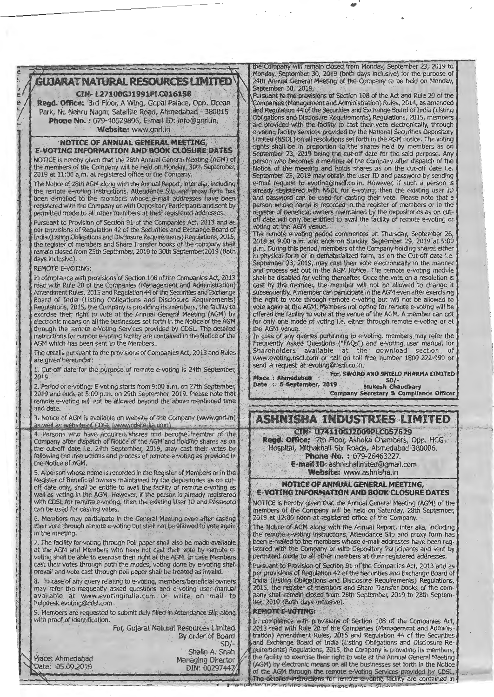

#### CIN·L27100GJ1991PLC016158

Regd. Office: 3rd Floor, A Wing, Gopal Palate, Opp. Ocean Park, Nr. Nehru Nagar, Satellite Road, Ahmedabad - 380015 Phone No. : 079-40029806, E-mail ID: info@gnrl.in, Website: www.gnrl.in

### NOTICE OF ANNUAL GENERAL MEETING.

E-VOTING INFORMATION AND BOOK CLOSURE DATES NOTICE is hereby given that the 28th Annual General Meeting (AGM) of NOTICE is hereby given that the 28th Annual General Meeting (AGM) of person who becomes a member of the Company after dispatch of the members of the Company will be held on Monday, 30th September, and holds of the meeting the members of the Company will be held on Monday, 30th September, **Notice of the meeting and holds shares as on the cut-off date i.e.**<br>2019 at 11:00 a.m. at registered office of the Company.

the remote e-voting instructions, Attendance Slip and proxy form has **investigated with NSDL for e-voting, then the existing user ID** been e-mailed to the members whose e-mail addresses have been and password can be used f registered with the Company or with Depository Participants and sent by permitted mode to all other members at their registered addresses.

Pursuant to Provision of Section 91 of the Companies Act, 2013 and as<br>
per provisions of Regulation 42 of the Securities and Exchange Board of<br>
India (Listing Obligations and Disclosure Requirements) Regulations, 2015<br>
The remain closed from 25th September, 2019 to 30th September, 2019 (Both

e

--

In compliance with provisions of Section 108 of the Companies Act, 2013 read with Rule 20 of the Companies (Management and Administration) Amendment Rules, 2015 and Regulation 44 of the Securities and Exchange Board of India (Listing Obligations and Disclosure Requirements) Regulations; 2015, the Company is providing its members, the facility to exercise their right to vote at the Annual General Meeting (AGM) by electronic means on all the businesses set forth in the Notice of the AGM through the remote e-Voting Services provided by CDSL. The detailed instructions for remote e-voting facility are contained in the Notice of the AGM which has been sent to the Members.

The details pursuant to the provisions of Companies Act, 2013 and Rules are given hereunder:

1, Cut-off date-for the purpose of remote e-voting is 24th September,<br>2019. 2019. - . . . ' ..

2. Period of e-voting: E-voting starts from 9:00 a.m. on 27th September, 2019 and ends at 5:00 p.m. on 29th September, 2019. Please note that remote e-voting will not be allowed beyond the above mentioned time and date.

as well as website of CDSL (www.cdslindia.com)<br>4. Persons who have acquired shares and become member of the<br>Company after dispatch of Notice of the AGM and holding shares as on **Regd. Office:** 7th Floor, Ashoka Chambers, Company after dispatch of Notice of the AGM and holding shares are<br>the cut-off date i.e. 24th September, 2019, may cast their votes by<br>following the instructions and process of remote e-voting as provided in **Regal. Office** following the instructions and process of remote e-voting as provided in the Notice of AGM.

5. A person whose name is recorded in the Register of Members or in the Register of Beneficial owners maintained by the depositories as on cut-Register of Beneficial owners maintained by the depositories as on cut-<br>off date only, shall be entitle to avail the facility of remote e-voting as<br>well as voting in the AGM. However, if the person is already registered<br>**E** 

6. Members may participate in the General Meeting even after casting their vote through remote e-voting but shall not be allowed to vote again. their vote through remote e-voting but shall not be allowed to vote again The Notice of AGM along with the Annual Report, inter alia, including in the meeting.

voting shall be able to exercise their right at the AGM. In case Members cast their votes through both the modes, voting done by e-voting shall **Pursuant** to Provision of Section 91 of the Companies Act, 2013 and as prevail and vote cast through poll paper shall be treated as invalid.

8. In case of any query relating to e-voting, members/beneficial owners may refer the frequently asked questions and e-voting user manual available at www.evotingindia.com or write on mail to helpdesk.evoting@cdsl.com

9. Members are requested to submit duly filled in Attendance Slip along **REMOTE E-VOTING:**<br>with proof of identification.

the Company will remain closed from Monday, September 23, 2019 to Monday, September 30, 2019 (both days inclusive) for the purpose of 24th Annual General Meeting of the Company to be held on Monday, September 30, 2019.

Pursuant to the provisions of Section 108 of the Act and Rule 20 of the ompanies (Management and Administration) Rules, 2014, as amended and Regulation 44 of the Securities and Exchange Board of India (Listing Obligations and Disclosure Requirements) Regulations, 2015, members are provided with the facility to cast their vote electronically, through e-voting facility services provided by the National Securities Depository Limited (NSDL) on all resolutions set forth in the AGM notice. The voting rights shall be in proportion to the shares held by members as on September 23, 2019 being the cut-off date for the said purpose. Any 2019 at 11:00 a,m. at registered office of the Company.<br>The Notice of 28th AGM along with the Annual Report, inter alia, including e-mail request to evoting@nsdl.co.in. However, if such a person is The Notice of 28th AGM along with the Annual Report, inter alia, including  $\parallel$  e-mail request to evoting@nsdf.co.in. However, if such a person is the remote e-voting instructions, Attendance Slip and proxy form has and password can be used for casting their vote. Please note that a person whose name is recorded in the register of members or in the permitted mode to all other members at their registered addresses. **I:** register of beneficial owners maintained by the depositories as on cut-Pursuant to Provision of Section 91 of the Companies Act, 2013 and as off. Join date will only be entitled to avail the facility of remote e-voting or

dentification is the Cut-off date i.e.<br>days inclusively inclusively inclusively inclusively inclusively inclusively inclusively inclusively inclusive<br>prember 23, 2019, may cast their vote electronically in the manner REMOTE E-VOTING:<br>REMOTE E-VOTING:  $\begin{bmatrix} \text{September 23, 2019, may cast their vote electroly in the manner} \\ \text{and process set out in the AGM Notice. The remote e-voting module} \end{bmatrix}$ shall be disabled for voting thereafter. Once the vote on a resolution is cast by the member, the member will not be allowed to change it subsequently. A member can participate in the AGM even after exercising the right to vote through remote e-voting but will not be allowed to vote again at the AGM. Members not opting for remote e-voting will be offered the facility to vote at the venue of the AGM. A member can opt for only one mode of voting i.e. either through remote e-voting or at the AGM venue.

If the AGM venue. .<br>In case of any queries pertaining to e-voting, members may refer the Frequently Asked Questions ("FAQs") and e-voting user manual for Shareholders available at the download section of www.evoting.nsdl.com or call on toll free number 1800-222-990 or send a request at evoting@nsdl.co.in.

.. Place : Ahmedabad For, SWORD AND SHIELD PHARMA LIMITED<br>Date : 5 September, 2019 Mukesh Chaudhary Date : 5 September, 2019 Company Secretary & Compliance Officer

3. Notice of AGM is available on website of the Company (www.gnrl.in) | | ASHNISHA , INDUSTRIES: LIMITED

**E-mail ID: ashnishalimited@gmail.com**<br>Website: www.ashnisha.in

with CDSL for remote e-voting, then the existing User ID and Password NOTICE is hereby given that the Annual General Meeting (AGM) of the can be used for casting votes. , and the General Meeting even after casting and the Company will be held on Saturday, 28th September, 6. Members may participate in the General Meeting even after casting 2019 at 12:00 noon

in the meeting.<br>7. The facility for voting through Poll paper shall also be made available the remote e-voting instructions, Attendance Slip and proxy form has 7. The facility for voting through Poll paper shall also be made available been e-mailed to the members whose e-mail addresses have been reg-<br>at the AGM and Members who have not cast their vote by remote e-stated with the istered with the Company or with Depository Participants and sent by permitted mode to all other members at their registered addresses.

> per provisions of Regulation 42 of the Securities and Exchange Board of India (Listing Obligations and Disclosure Requirements) Regulations. 2015, the register of members and Share Transfer books of the com-<br>pany shall remain closed from 25th September, 2019 to 28th September, 2019 (Both days inclusive).

For, Gujarat Natural Resources Limited | 100.000 In compliance with provisions of Section 108 of the Companies Act, Resources Limited 2013 read with Rule 20 of the Companies (Management and Adminis-<br>By order of Board tration) Amendment Rules, 2015 and Regulation 44 of the Securities tration) Amendment Rules, 2015 and Regulation 44 of the Securities SD/- **And Exchange Board of India (Listing Obligations and Disclosure Re-**Shalin A. Shah  $\mathbb{Z}$  is irements) Regulations, 2015, the Company is providing its members, Managing Director the facility to exercise their right to vote at the Annual General Meeting DIN: 00297447/ (AGM) by electronic means on all the businesses set forth in the Notice of the AGM through the remote e-Voting Services provided by CDSL. The detailed instructions for remote e-voting facility are contained in

Place: Ahmedabad Date: 05.09.2019

 $\mathbf{f}_\mathrm{f}$ 

I t